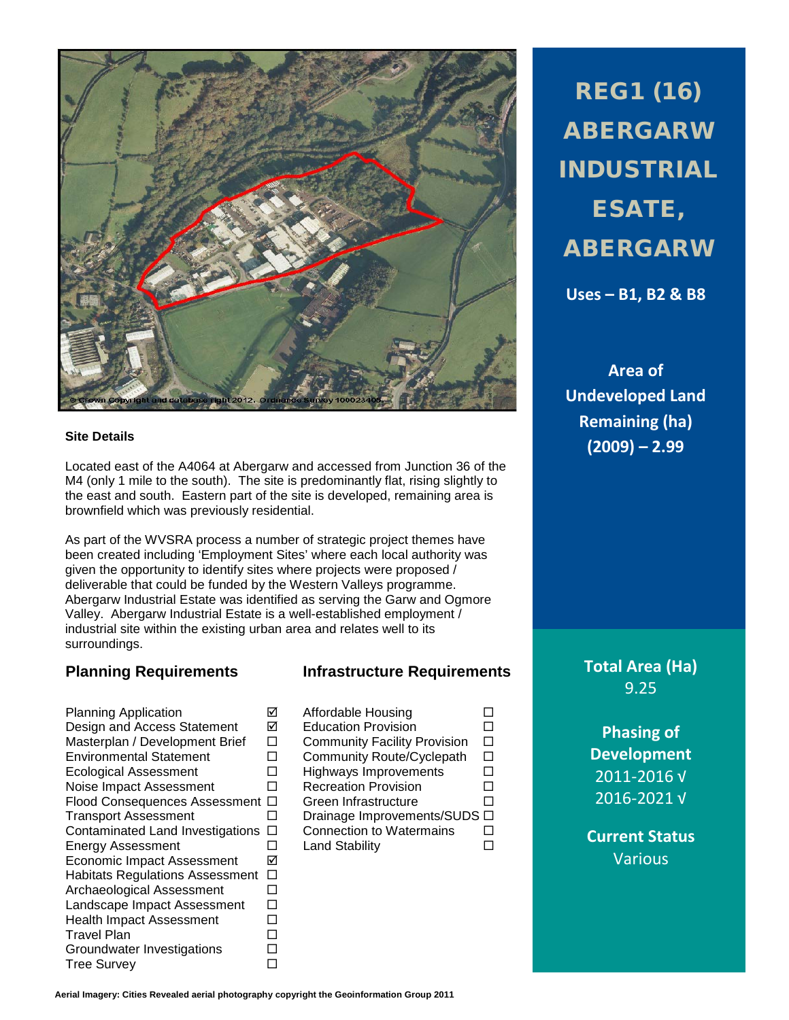

## **Site Details**

Located east of the A4064 at Abergarw and accessed from Junction 36 of the M4 (only 1 mile to the south). The site is predominantly flat, rising slightly to the east and south. Eastern part of the site is developed, remaining area is brownfield which was previously residential.

As part of the WVSRA process a number of strategic project themes have been created including 'Employment Sites' where each local authority was given the opportunity to identify sites where projects were proposed / deliverable that could be funded by the Western Valleys programme. Abergarw Industrial Estate was identified as serving the Garw and Ogmore Valley. Abergarw Industrial Estate is a well-established employment / industrial site within the existing urban area and relates well to its surroundings.

Planning Application Affordable Housing Design and Access Statement Masterplan / Development Brief  $\Box$  Community Facility Provision  $\Box$ <br>
Environmental Statement  $\Box$  Community Route/Cyclepath  $\Box$ Ecological Assessment Highways Improvements Noise Impact Assessment  $\Box$  Recreation Provision  $\Box$ <br>
Flood Consequences Assessment  $\Box$  Green Infrastructure  $\Box$ Flood Consequences Assessment  $\square$ <br>
Transport Assessment  $\square$ Contaminated Land Investigations  $\Box$  Connection to Watermains  $\Box$ <br>Energy Assessment  $\Box$  Land Stability  $\Box$ Energy Assessment Economic Impact Assessment **Ø** Habitats Regulations Assessment  $\square$ <br>Archaeological Assessment  $\square$ Archaeological Assessment Landscape Impact Assessment  $\square$ Health Impact Assessment  $\square$ <br>Travel Plan Travel Plan<br>Groundwater Investigations □ Groundwater Investigations  $\square$ <br>Tree Survey Tree Survey

## **Planning Requirements Infrastructure Requirements**

 $\Box$  Community Route/Cyclepath<br>  $\Box$  Highways Improvements Drainage Improvements/SUDS  $\Box$ 

REG1 (16) ABERGARW INDUSTRIAL ESATE, ABERGARW

**Uses – B1, B2 & B8**

**Area of Undeveloped Land Remaining (ha) (2009) – 2.99**

**Total Area (Ha)** 9.25

**Phasing of Development** 2011-2016 √ 2016-2021 √

**Current Status** Various